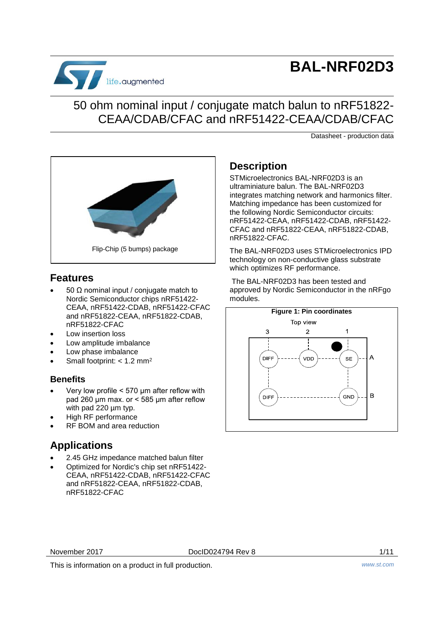

# **BAL-NRF02D3**

## 50 ohm nominal input / conjugate match balun to nRF51822- CEAA/CDAB/CFAC and nRF51422-CEAA/CDAB/CFAC

Datasheet - production data



### <span id="page-0-0"></span>**Features**

- 50 Ω nominal input / conjugate match to Nordic Semiconductor chips nRF51422- CEAA, nRF51422-CDAB, nRF51422-CFAC and nRF51822-CEAA, nRF51822-CDAB, nRF51822-CFAC
- Low insertion loss
- Low amplitude imbalance
- Low phase imbalance
- Small footprint: < 1.2 mm<sup>2</sup>

### **Benefits**

- Very low profile < 570 μm after reflow with pad 260 µm max. or < 585 μm after reflow with pad 220 um typ.
- High RF performance
- RF BOM and area reduction

### **Applications**

- 2.45 GHz impedance matched balun filter
- Optimized for Nordic's chip set nRF51422- CEAA, nRF51422-CDAB, nRF51422-CFAC and nRF51822-CEAA, nRF51822-CDAB, nRF51822-CFAC

### **Description**

STMicroelectronics BAL-NRF02D3 is an ultraminiature balun. The BAL-NRF02D3 integrates matching network and harmonics filter. Matching impedance has been customized for the following Nordic Semiconductor circuits: nRF51422-CEAA, nRF51422-CDAB, nRF51422- CFAC and nRF51822-CEAA, nRF51822-CDAB, nRF51822-CFAC.

The BAL-NRF02D3 uses STMicroelectronics IPD technology on non-conductive glass substrate which optimizes RF performance.

The BAL-NRF02D3 has been tested and approved by Nordic Semiconductor in the nRFgo modules.



November 2017 DocID024794 Rev 8 1/11

This is information on a product in full production. *www.st.com*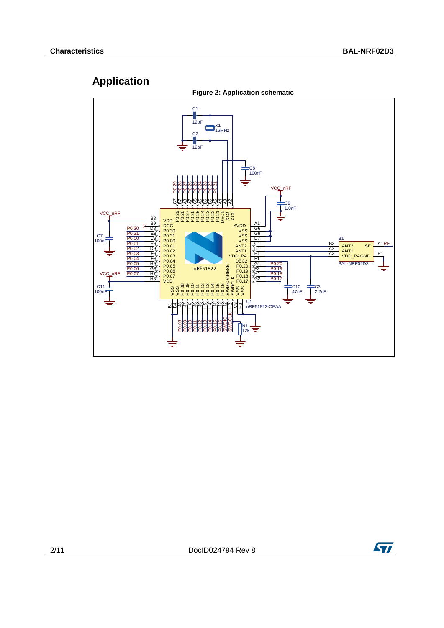## **Application**



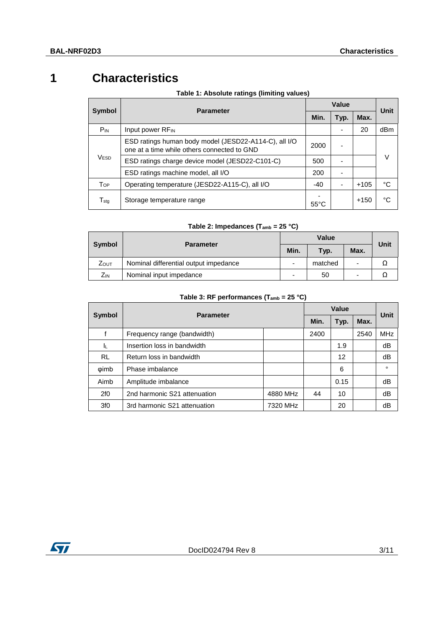# **1 Characteristics**

|                             | <b>Parameter</b>                                                                                     |     |      | Value  |             |
|-----------------------------|------------------------------------------------------------------------------------------------------|-----|------|--------|-------------|
| Symbol                      |                                                                                                      |     | Typ. | Max.   | <b>Unit</b> |
| P <sub>IN</sub>             | Input power RF <sub>IN</sub>                                                                         |     |      | 20     | dBm         |
|                             | ESD ratings human body model (JESD22-A114-C), all I/O<br>one at a time while others connected to GND |     |      |        |             |
| V <sub>ESD</sub>            | ESD ratings charge device model (JESD22-C101-C)                                                      | 500 |      |        | v           |
|                             | ESD ratings machine model, all I/O                                                                   | 200 |      |        |             |
| Top                         | Operating temperature (JESD22-A115-C), all I/O                                                       |     |      | $+105$ | °C          |
| $\mathsf{T}_{\mathsf{stg}}$ | Storage temperature range                                                                            |     |      | $+150$ | °C          |

#### **Table 1: Absolute ratings (limiting values)**

### **Table 2: Impedances (Tamb = 25 °C)**

|              | <b>Parameter</b>                      |      | Value   |                     |  |  |
|--------------|---------------------------------------|------|---------|---------------------|--|--|
| Symbol       |                                       | Min. | Typ.    | <b>Unit</b><br>Max. |  |  |
| <b>Z</b> out | Nominal differential output impedance |      | matched | -                   |  |  |
| Zın          | Nominal input impedance               |      | 50      | -                   |  |  |

#### **Table 3: RF performances (Tamb = 25 °C)**

|                 | <b>Parameter</b>                         | Value |      |      |      | Unit       |
|-----------------|------------------------------------------|-------|------|------|------|------------|
| <b>Symbol</b>   |                                          |       |      | Typ. | Max. |            |
|                 | Frequency range (bandwidth)              |       | 2400 |      | 2540 | <b>MHz</b> |
| ΙL.             | Insertion loss in bandwidth              |       |      | 1.9  |      | dB         |
| <b>RL</b>       | Return loss in bandwidth                 |       |      | 12   |      | dB         |
| <b>wimb</b>     | Phase imbalance                          |       |      | 6    |      | $\circ$    |
| Aimb            | Amplitude imbalance                      |       |      | 0.15 |      | dB         |
| 2f0             | 2nd harmonic S21 attenuation<br>4880 MHz |       | 44   | 10   |      | dB         |
| 3f <sub>0</sub> | 3rd harmonic S21 attenuation<br>7320 MHz |       |      | 20   |      | dB         |

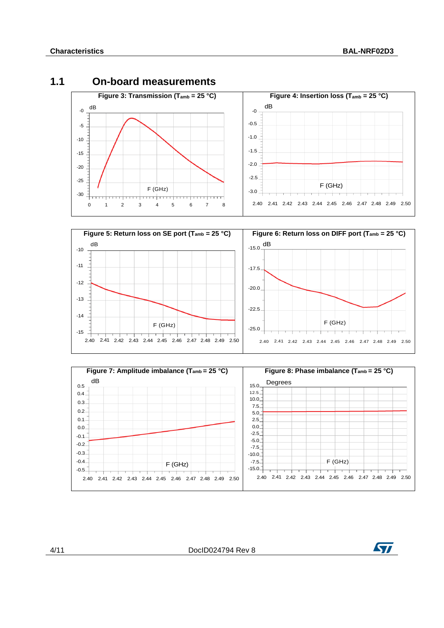### **1.1 On-board measurements**







4/11 DocID024794 Rev 8

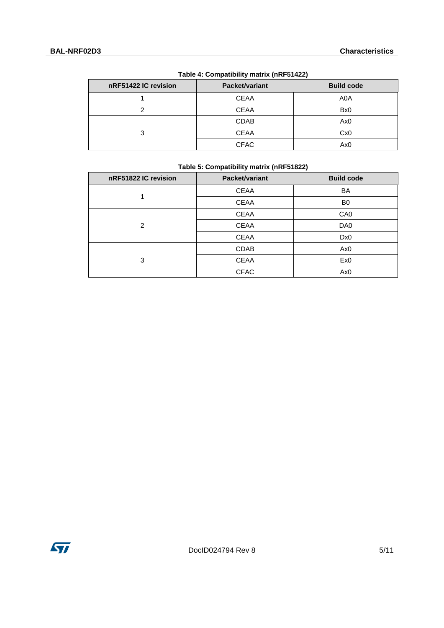| $1000 - 1000$        |                |                   |  |  |
|----------------------|----------------|-------------------|--|--|
| nRF51422 IC revision | Packet/variant | <b>Build code</b> |  |  |
|                      | <b>CEAA</b>    | A0A               |  |  |
|                      | <b>CEAA</b>    | Bx <sub>0</sub>   |  |  |
|                      | <b>CDAB</b>    | Ax <sub>0</sub>   |  |  |
| 3                    | <b>CEAA</b>    | Cx0               |  |  |
|                      | <b>CFAC</b>    | Ax0               |  |  |

#### **Table 4: Compatibility matrix (nRF51422)**

| nRF51822 IC revision | Packet/variant | <b>Build code</b> |
|----------------------|----------------|-------------------|
|                      | <b>CEAA</b>    | <b>BA</b>         |
|                      | <b>CEAA</b>    | B <sub>0</sub>    |
|                      | <b>CEAA</b>    | CA <sub>0</sub>   |
| 2                    | <b>CEAA</b>    | DA0               |
|                      | <b>CEAA</b>    | Dx0               |
|                      | CDAB           | Ax <sub>0</sub>   |
| 3                    | <b>CEAA</b>    | Ex0               |
|                      | <b>CFAC</b>    | Ax <sub>0</sub>   |

#### **Table 5: Compatibility matrix (nRF51822)**

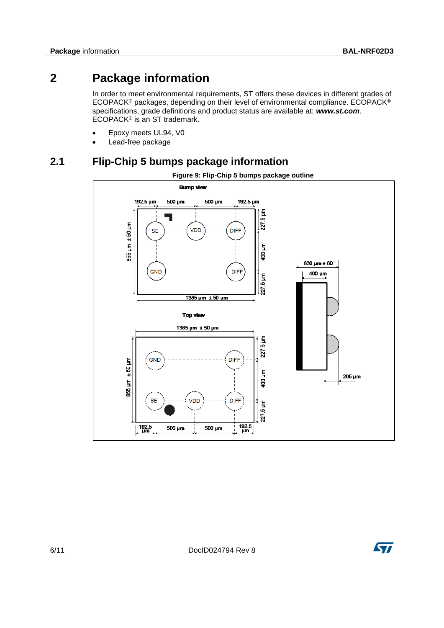### **2 Package information**

In order to meet environmental requirements, ST offers these devices in different grades of ECOPACK® packages, depending on their level of environmental compliance. ECOPACK® specifications, grade definitions and product status are available at: *www.st.com*. ECOPACK® is an ST trademark.

- Epoxy meets UL94, V0
- Lead-free package

### **2.1 Flip-Chip 5 bumps package information**



**Figure 9: Flip-Chip 5 bumps package outline**

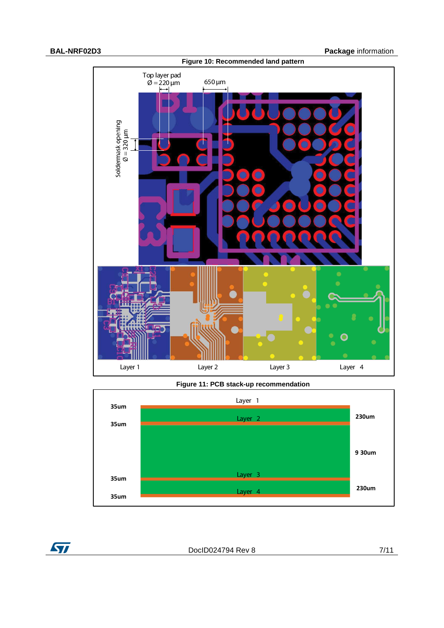

**Figure 11: PCB stack-up recommendation**



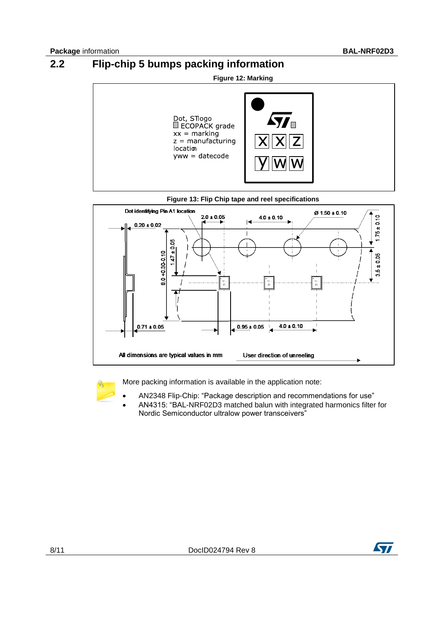# **2.2 Flip-chip 5 bumps packing information**







More packing information is available in the application note:

- AN2348 Flip-Chip: "Package description and recommendations for use"
- AN4315: "BAL-NRF02D3 matched balun with integrated harmonics filter for Nordic Semiconductor ultralow power transceivers"

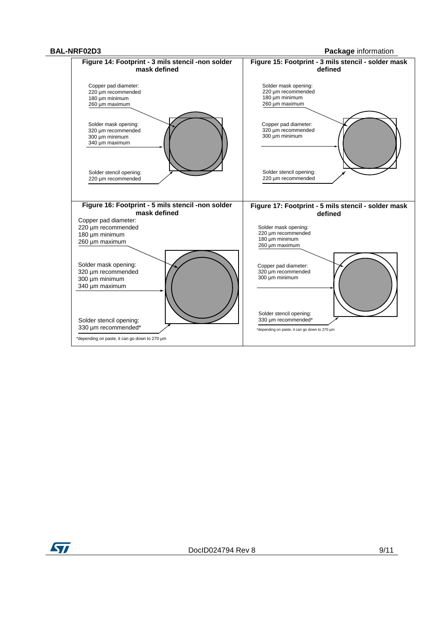**BAL-NRF02D3 Package** information



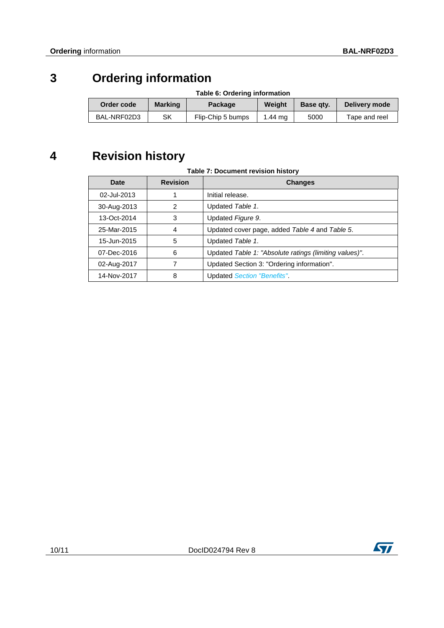# **3 Ordering information**

| Table 6: Ordering information |                |                   |         |           |               |
|-------------------------------|----------------|-------------------|---------|-----------|---------------|
| Order code                    | <b>Marking</b> | Package           | Weiaht  | Base gty. | Delivery mode |
| BAL-NRF02D3                   | SK             | Flip-Chip 5 bumps | 1.44 ma | 5000      | Tape and reel |

# **4 Revision history**

#### **Table 7: Document revision history**

| Date        | <b>Revision</b> | <b>Changes</b>                                         |  |
|-------------|-----------------|--------------------------------------------------------|--|
| 02-Jul-2013 |                 | Initial release.                                       |  |
| 30-Aug-2013 | 2               | Updated Table 1.                                       |  |
| 13-Oct-2014 | 3               | Updated Figure 9.                                      |  |
| 25-Mar-2015 | 4               | Updated cover page, added Table 4 and Table 5.         |  |
| 15-Jun-2015 | 5               | Updated Table 1.                                       |  |
| 07-Dec-2016 | 6               | Updated Table 1: "Absolute ratings (limiting values)". |  |
| 02-Aug-2017 |                 | Updated Section 3: "Ordering information".             |  |
| 14-Nov-2017 | 8               | <b>Updated Section "Benefits".</b>                     |  |

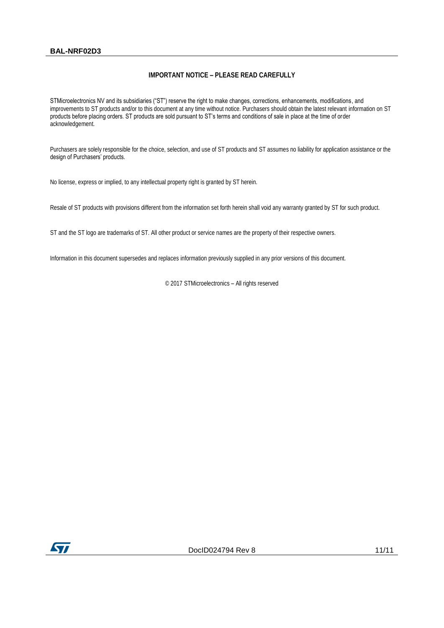#### **BAL-NRF02D3**

#### **IMPORTANT NOTICE – PLEASE READ CAREFULLY**

STMicroelectronics NV and its subsidiaries ("ST") reserve the right to make changes, corrections, enhancements, modifications, and improvements to ST products and/or to this document at any time without notice. Purchasers should obtain the latest relevant information on ST products before placing orders. ST products are sold pursuant to ST's terms and conditions of sale in place at the time of order acknowledgement.

Purchasers are solely responsible for the choice, selection, and use of ST products and ST assumes no liability for application assistance or the design of Purchasers' products.

No license, express or implied, to any intellectual property right is granted by ST herein.

Resale of ST products with provisions different from the information set forth herein shall void any warranty granted by ST for such product.

ST and the ST logo are trademarks of ST. All other product or service names are the property of their respective owners.

Information in this document supersedes and replaces information previously supplied in any prior versions of this document.

© 2017 STMicroelectronics – All rights reserved